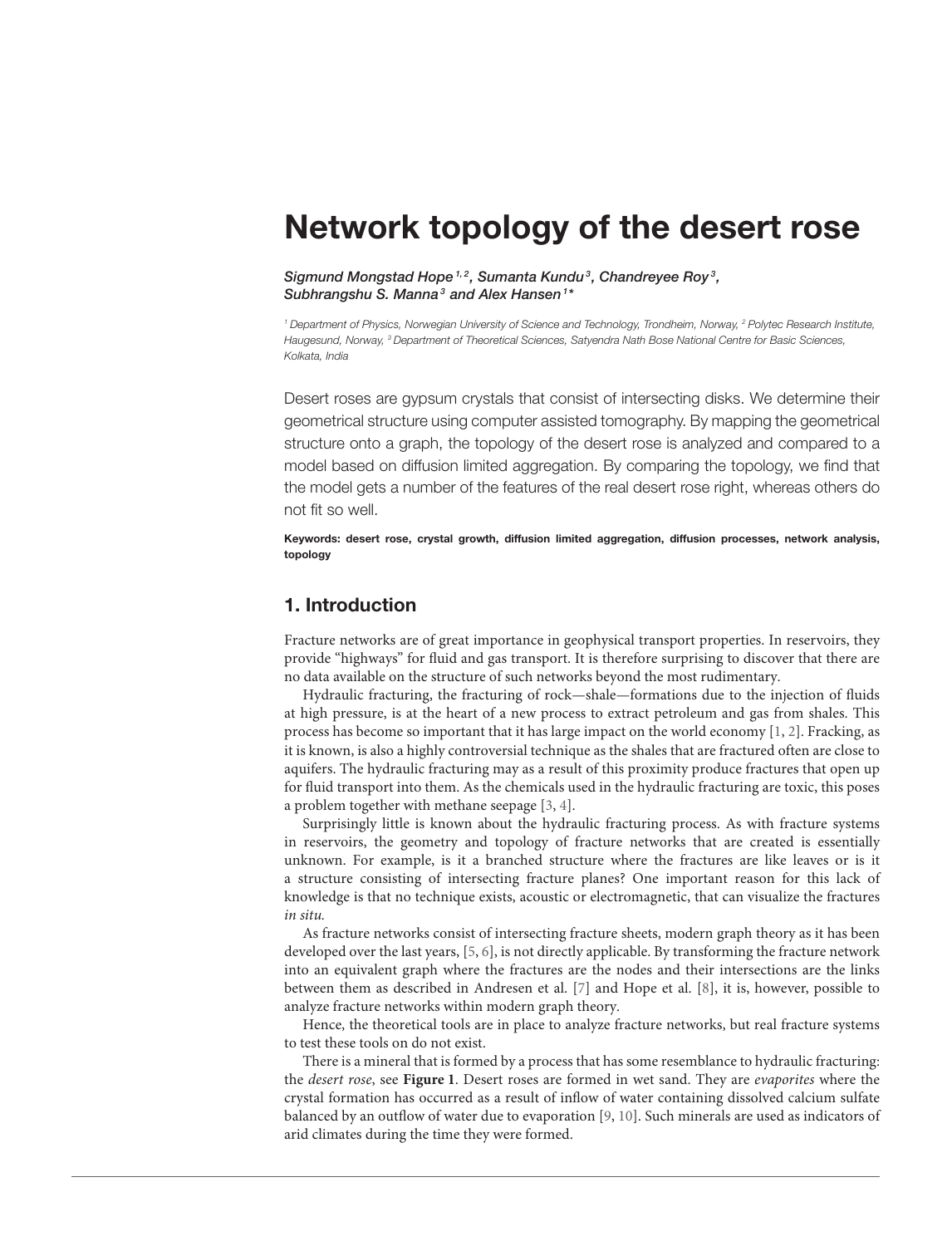# [Network topology of the desert rose](http://journal.frontiersin.org/article/10.3389/fphy.2015.00072/abstract)

[Sigmund Mongstad Hope](http://loop.frontiersin.org/people/96132/overview)<sup>1,2</sup>, [Sumanta Kundu](http://loop.frontiersin.org/people/217924/overview)<sup>3</sup>, [Chandreyee Roy](http://loop.frontiersin.org/people/222197/overview)<sup>3</sup>, [Subhrangshu S. Manna](http://loop.frontiersin.org/people/90165/overview)<sup>3</sup> and [Alex Hansen](http://loop.frontiersin.org/people/73058/overview)<sup>1\*</sup>

<sup>1</sup> Department of Physics, Norwegian University of Science and Technology, Trondheim, Norway, <sup>2</sup> Polytec Research Institute, Haugesund, Norway, <sup>3</sup> Department of Theoretical Sciences, Satyendra Nath Bose National Centre for Basic Sciences, Kolkata, India

Desert roses are gypsum crystals that consist of intersecting disks. We determine their geometrical structure using computer assisted tomography. By mapping the geometrical structure onto a graph, the topology of the desert rose is analyzed and compared to a model based on diffusion limited aggregation. By comparing the topology, we find that the model gets a number of the features of the real desert rose right, whereas others do not fit so well.

Keywords: desert rose, crystal growth, diffusion limited aggregation, diffusion processes, network analysis, topology

## 1. Introduction

Fracture networks are of great importance in geophysical transport properties. In reservoirs, they provide "highways" for fluid and gas transport. It is therefore surprising to discover that there are no data available on the structure of such networks beyond the most rudimentary.

Hydraulic fracturing, the fracturing of rock—shale—formations due to the injection of fluids at high pressure, is at the heart of a new process to extract petroleum and gas from shales. This process has become so important that it has large impact on the world economy [\[1,](#page-6-0) [2\]](#page-6-1). Fracking, as it is known, is also a highly controversial technique as the shales that are fractured often are close to aquifers. The hydraulic fracturing may as a result of this proximity produce fractures that open up for fluid transport into them. As the chemicals used in the hydraulic fracturing are toxic, this poses a problem together with methane seepage [\[3,](#page-6-2) [4\]](#page-6-3).

Surprisingly little is known about the hydraulic fracturing process. As with fracture systems in reservoirs, the geometry and topology of fracture networks that are created is essentially unknown. For example, is it a branched structure where the fractures are like leaves or is it a structure consisting of intersecting fracture planes? One important reason for this lack of knowledge is that no technique exists, acoustic or electromagnetic, that can visualize the fractures in situ.

As fracture networks consist of intersecting fracture sheets, modern graph theory as it has been developed over the last years, [\[5,](#page-6-4) [6\]](#page-6-5), is not directly applicable. By transforming the fracture network into an equivalent graph where the fractures are the nodes and their intersections are the links between them as described in Andresen et al. [\[7\]](#page-6-6) and Hope et al. [\[8\]](#page-6-7), it is, however, possible to analyze fracture networks within modern graph theory.

Hence, the theoretical tools are in place to analyze fracture networks, but real fracture systems to test these tools on do not exist.

There is a mineral that is formed by a process that has some resemblance to hydraulic fracturing: the desert rose, see **[Figure 1](#page-1-0)**. Desert roses are formed in wet sand. They are evaporites where the crystal formation has occurred as a result of inflow of water containing dissolved calcium sulfate balanced by an outflow of water due to evaporation [\[9,](#page-6-8) [10\]](#page-6-9). Such minerals are used as indicators of arid climates during the time they were formed.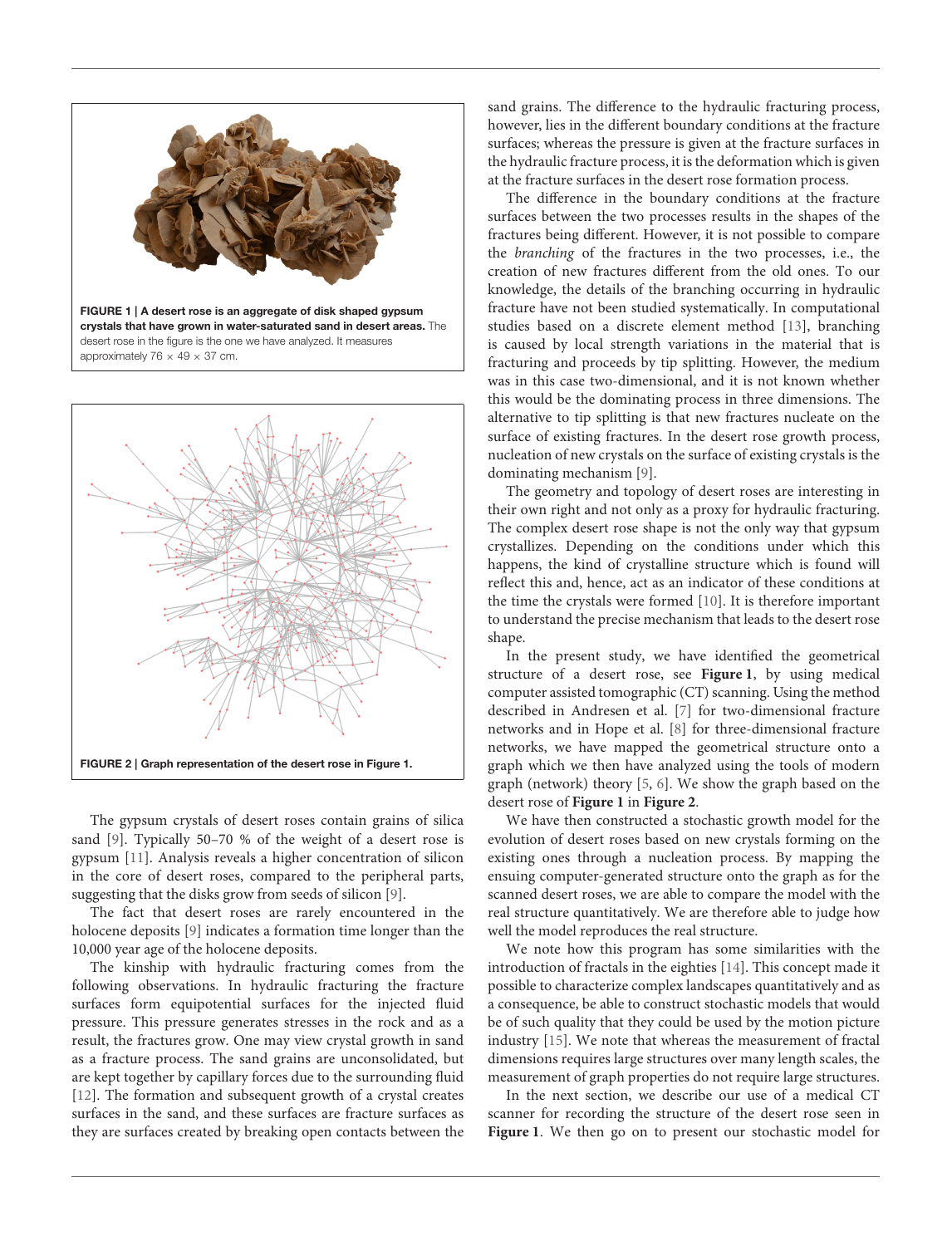

<span id="page-1-0"></span>

<span id="page-1-1"></span>The gypsum crystals of desert roses contain grains of silica sand [\[9\]](#page-6-8). Typically 50–70 % of the weight of a desert rose is gypsum [\[11\]](#page-6-10). Analysis reveals a higher concentration of silicon in the core of desert roses, compared to the peripheral parts, suggesting that the disks grow from seeds of silicon [\[9\]](#page-6-8).

The fact that desert roses are rarely encountered in the holocene deposits [\[9\]](#page-6-8) indicates a formation time longer than the 10,000 year age of the holocene deposits.

The kinship with hydraulic fracturing comes from the following observations. In hydraulic fracturing the fracture surfaces form equipotential surfaces for the injected fluid pressure. This pressure generates stresses in the rock and as a result, the fractures grow. One may view crystal growth in sand as a fracture process. The sand grains are unconsolidated, but are kept together by capillary forces due to the surrounding fluid [\[12\]](#page-6-11). The formation and subsequent growth of a crystal creates surfaces in the sand, and these surfaces are fracture surfaces as they are surfaces created by breaking open contacts between the sand grains. The difference to the hydraulic fracturing process, however, lies in the different boundary conditions at the fracture surfaces; whereas the pressure is given at the fracture surfaces in the hydraulic fracture process, it is the deformation which is given at the fracture surfaces in the desert rose formation process.

The difference in the boundary conditions at the fracture surfaces between the two processes results in the shapes of the fractures being different. However, it is not possible to compare the branching of the fractures in the two processes, i.e., the creation of new fractures different from the old ones. To our knowledge, the details of the branching occurring in hydraulic fracture have not been studied systematically. In computational studies based on a discrete element method [\[13\]](#page-6-12), branching is caused by local strength variations in the material that is fracturing and proceeds by tip splitting. However, the medium was in this case two-dimensional, and it is not known whether this would be the dominating process in three dimensions. The alternative to tip splitting is that new fractures nucleate on the surface of existing fractures. In the desert rose growth process, nucleation of new crystals on the surface of existing crystals is the dominating mechanism [\[9\]](#page-6-8).

The geometry and topology of desert roses are interesting in their own right and not only as a proxy for hydraulic fracturing. The complex desert rose shape is not the only way that gypsum crystallizes. Depending on the conditions under which this happens, the kind of crystalline structure which is found will reflect this and, hence, act as an indicator of these conditions at the time the crystals were formed [\[10\]](#page-6-9). It is therefore important to understand the precise mechanism that leads to the desert rose shape.

In the present study, we have identified the geometrical structure of a desert rose, see **[Figure 1](#page-1-0)**, by using medical computer assisted tomographic (CT) scanning. Using the method described in Andresen et al. [\[7\]](#page-6-6) for two-dimensional fracture networks and in Hope et al. [\[8\]](#page-6-7) for three-dimensional fracture networks, we have mapped the geometrical structure onto a graph which we then have analyzed using the tools of modern graph (network) theory [\[5,](#page-6-4) [6\]](#page-6-5). We show the graph based on the desert rose of **[Figure 1](#page-1-0)** in **[Figure 2](#page-1-1)**.

We have then constructed a stochastic growth model for the evolution of desert roses based on new crystals forming on the existing ones through a nucleation process. By mapping the ensuing computer-generated structure onto the graph as for the scanned desert roses, we are able to compare the model with the real structure quantitatively. We are therefore able to judge how well the model reproduces the real structure.

We note how this program has some similarities with the introduction of fractals in the eighties [\[14\]](#page-6-13). This concept made it possible to characterize complex landscapes quantitatively and as a consequence, be able to construct stochastic models that would be of such quality that they could be used by the motion picture industry [\[15\]](#page-6-14). We note that whereas the measurement of fractal dimensions requires large structures over many length scales, the measurement of graph properties do not require large structures.

In the next section, we describe our use of a medical CT scanner for recording the structure of the desert rose seen in **[Figure 1](#page-1-0)**. We then go on to present our stochastic model for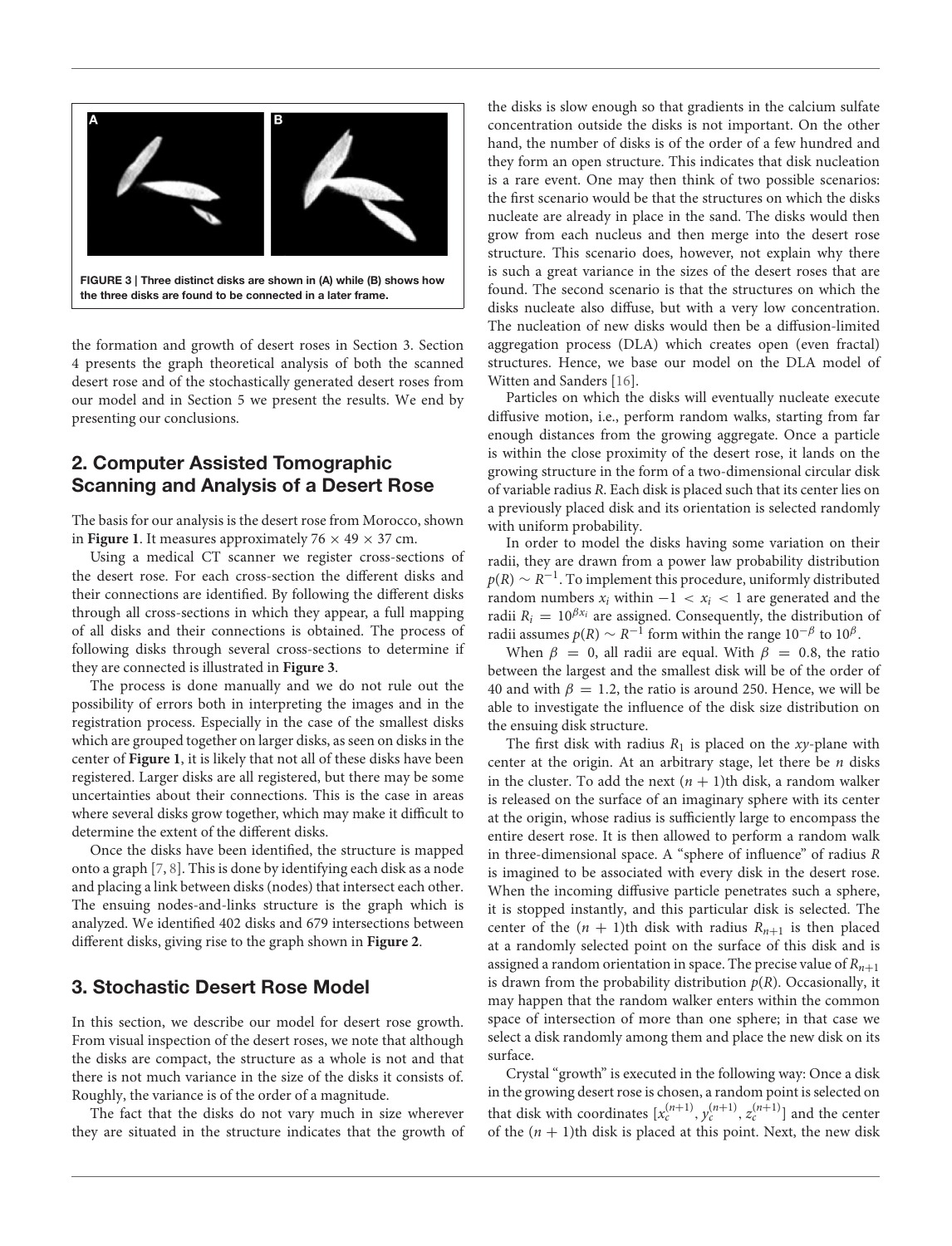

<span id="page-2-0"></span>the formation and growth of desert roses in Section 3. Section 4 presents the graph theoretical analysis of both the scanned desert rose and of the stochastically generated desert roses from our model and in Section 5 we present the results. We end by presenting our conclusions.

# 2. Computer Assisted Tomographic Scanning and Analysis of a Desert Rose

The basis for our analysis is the desert rose from Morocco, shown in **[Figure 1](#page-1-0)**. It measures approximately  $76 \times 49 \times 37$  cm.

Using a medical CT scanner we register cross-sections of the desert rose. For each cross-section the different disks and their connections are identified. By following the different disks through all cross-sections in which they appear, a full mapping of all disks and their connections is obtained. The process of following disks through several cross-sections to determine if they are connected is illustrated in **[Figure 3](#page-2-0)**.

The process is done manually and we do not rule out the possibility of errors both in interpreting the images and in the registration process. Especially in the case of the smallest disks which are grouped together on larger disks, as seen on disks in the center of **[Figure 1](#page-1-0)**, it is likely that not all of these disks have been registered. Larger disks are all registered, but there may be some uncertainties about their connections. This is the case in areas where several disks grow together, which may make it difficult to determine the extent of the different disks.

Once the disks have been identified, the structure is mapped onto a graph [\[7,](#page-6-6) [8\]](#page-6-7). This is done by identifying each disk as a node and placing a link between disks (nodes) that intersect each other. The ensuing nodes-and-links structure is the graph which is analyzed. We identified 402 disks and 679 intersections between different disks, giving rise to the graph shown in **[Figure 2](#page-1-1)**.

# 3. Stochastic Desert Rose Model

In this section, we describe our model for desert rose growth. From visual inspection of the desert roses, we note that although the disks are compact, the structure as a whole is not and that there is not much variance in the size of the disks it consists of. Roughly, the variance is of the order of a magnitude.

The fact that the disks do not vary much in size wherever they are situated in the structure indicates that the growth of

the disks is slow enough so that gradients in the calcium sulfate concentration outside the disks is not important. On the other hand, the number of disks is of the order of a few hundred and they form an open structure. This indicates that disk nucleation is a rare event. One may then think of two possible scenarios: the first scenario would be that the structures on which the disks nucleate are already in place in the sand. The disks would then grow from each nucleus and then merge into the desert rose structure. This scenario does, however, not explain why there is such a great variance in the sizes of the desert roses that are found. The second scenario is that the structures on which the disks nucleate also diffuse, but with a very low concentration. The nucleation of new disks would then be a diffusion-limited aggregation process (DLA) which creates open (even fractal) structures. Hence, we base our model on the DLA model of Witten and Sanders [\[16\]](#page-6-15).

Particles on which the disks will eventually nucleate execute diffusive motion, i.e., perform random walks, starting from far enough distances from the growing aggregate. Once a particle is within the close proximity of the desert rose, it lands on the growing structure in the form of a two-dimensional circular disk of variable radius R. Each disk is placed such that its center lies on a previously placed disk and its orientation is selected randomly with uniform probability.

In order to model the disks having some variation on their radii, they are drawn from a power law probability distribution  $p(R) \sim R^{-1}.$  To implement this procedure, uniformly distributed random numbers  $x_i$  within  $-1 < x_i < 1$  are generated and the radii  $R_i = 10^{\beta x_i}$  are assigned. Consequently, the distribution of radii assumes  $p(R) \sim R^{-1}$  form within the range  $10^{-\beta}$  to  $10^{\beta}$ .

When  $\beta = 0$ , all radii are equal. With  $\beta = 0.8$ , the ratio between the largest and the smallest disk will be of the order of 40 and with  $\beta = 1.2$ , the ratio is around 250. Hence, we will be able to investigate the influence of the disk size distribution on the ensuing disk structure.

The first disk with radius  $R_1$  is placed on the xy-plane with center at the origin. At an arbitrary stage, let there be  $n$  disks in the cluster. To add the next  $(n + 1)$ th disk, a random walker is released on the surface of an imaginary sphere with its center at the origin, whose radius is sufficiently large to encompass the entire desert rose. It is then allowed to perform a random walk in three-dimensional space. A "sphere of influence" of radius R is imagined to be associated with every disk in the desert rose. When the incoming diffusive particle penetrates such a sphere, it is stopped instantly, and this particular disk is selected. The center of the  $(n + 1)$ th disk with radius  $R_{n+1}$  is then placed at a randomly selected point on the surface of this disk and is assigned a random orientation in space. The precise value of  $R_{n+1}$ is drawn from the probability distribution  $p(R)$ . Occasionally, it may happen that the random walker enters within the common space of intersection of more than one sphere; in that case we select a disk randomly among them and place the new disk on its surface.

Crystal "growth" is executed in the following way: Once a disk in the growing desert rose is chosen, a random point is selected on that disk with coordinates  $[x_c^{(n+1)}, y_c^{(n+1)}, z_c^{(n+1)}]$  and the center of the  $(n + 1)$ th disk is placed at this point. Next, the new disk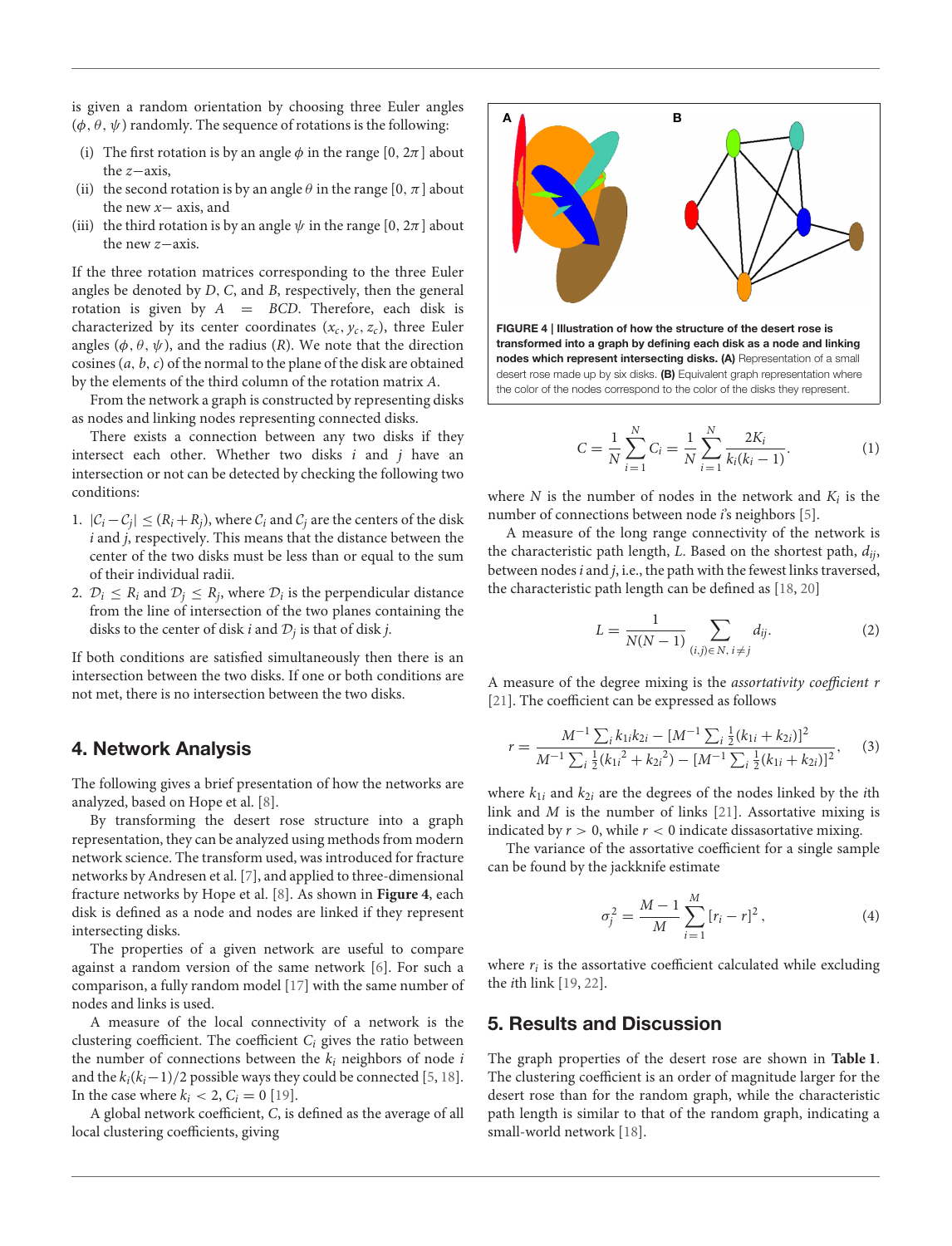is given a random orientation by choosing three Euler angles  $(\phi, \theta, \psi)$  randomly. The sequence of rotations is the following:

- (i) The first rotation is by an angle  $\phi$  in the range [0,  $2\pi$ ] about the z−axis,
- (ii) the second rotation is by an angle  $\theta$  in the range  $[0, \pi]$  about the new x− axis, and
- (iii) the third rotation is by an angle  $\psi$  in the range [0,  $2\pi$ ] about the new z−axis.

If the three rotation matrices corresponding to the three Euler angles be denoted by D, C, and B, respectively, then the general rotation is given by  $A = BCD$ . Therefore, each disk is characterized by its center coordinates  $(x_c, y_c, z_c)$ , three Euler angles  $(\phi, \theta, \psi)$ , and the radius (R). We note that the direction cosines  $(a, b, c)$  of the normal to the plane of the disk are obtained by the elements of the third column of the rotation matrix A.

From the network a graph is constructed by representing disks as nodes and linking nodes representing connected disks.

There exists a connection between any two disks if they intersect each other. Whether two disks  $i$  and  $j$  have an intersection or not can be detected by checking the following two conditions:

- 1.  $|\mathcal{C}_i \mathcal{C}_j| \leq (R_i + R_j)$ , where  $\mathcal{C}_i$  and  $\mathcal{C}_j$  are the centers of the disk  $i$  and  $j$ , respectively. This means that the distance between the center of the two disks must be less than or equal to the sum of their individual radii.
- 2.  $\mathcal{D}_i \leq R_i$  and  $\mathcal{D}_j \leq R_j$ , where  $\mathcal{D}_i$  is the perpendicular distance from the line of intersection of the two planes containing the disks to the center of disk i and  $\mathcal{D}_j$  is that of disk j.

If both conditions are satisfied simultaneously then there is an intersection between the two disks. If one or both conditions are not met, there is no intersection between the two disks.

## 4. Network Analysis

The following gives a brief presentation of how the networks are analyzed, based on Hope et al. [\[8\]](#page-6-7).

By transforming the desert rose structure into a graph representation, they can be analyzed using methods from modern network science. The transform used, was introduced for fracture networks by Andresen et al. [\[7\]](#page-6-6), and applied to three-dimensional fracture networks by Hope et al. [\[8\]](#page-6-7). As shown in **[Figure 4](#page-3-0)**, each disk is defined as a node and nodes are linked if they represent intersecting disks.

The properties of a given network are useful to compare against a random version of the same network [\[6\]](#page-6-5). For such a comparison, a fully random model [\[17\]](#page-6-16) with the same number of nodes and links is used.

A measure of the local connectivity of a network is the clustering coefficient. The coefficient  $C_i$  gives the ratio between the number of connections between the  $k_i$  neighbors of node i and the  $k_i(k_i-1)/2$  possible ways they could be connected [\[5,](#page-6-4) [18\]](#page-6-17). In the case where  $k_i < 2$ ,  $C_i = 0$  [\[19\]](#page-6-18).

A global network coefficient, C, is defined as the average of all local clustering coefficients, giving



<span id="page-3-0"></span>
$$
C = \frac{1}{N} \sum_{i=1}^{N} C_i = \frac{1}{N} \sum_{i=1}^{N} \frac{2K_i}{k_i(k_i - 1)}.
$$
 (1)

where N is the number of nodes in the network and  $K_i$  is the number of connections between node *i*'s neighbors [\[5\]](#page-6-4).

A measure of the long range connectivity of the network is the characteristic path length, L. Based on the shortest path,  $d_{ii}$ , between nodes  $i$  and  $j$ , i.e., the path with the fewest links traversed, the characteristic path length can be defined as [\[18,](#page-6-17) [20\]](#page-6-19)

$$
L = \frac{1}{N(N-1)} \sum_{(i,j)\in N, \ i \neq j} d_{ij}.
$$
 (2)

A measure of the degree mixing is the assortativity coefficient r [\[21\]](#page-6-20). The coefficient can be expressed as follows

$$
r = \frac{M^{-1} \sum_{i} k_{1i} k_{2i} - [M^{-1} \sum_{i} \frac{1}{2} (k_{1i} + k_{2i})]^2}{M^{-1} \sum_{i} \frac{1}{2} (k_{1i}^2 + k_{2i}^2) - [M^{-1} \sum_{i} \frac{1}{2} (k_{1i} + k_{2i})]^2},
$$
 (3)

where  $k_{1i}$  and  $k_{2i}$  are the degrees of the nodes linked by the *i*th link and M is the number of links [\[21\]](#page-6-20). Assortative mixing is indicated by  $r > 0$ , while  $r < 0$  indicate dissasortative mixing.

The variance of the assortative coefficient for a single sample can be found by the jackknife estimate

<span id="page-3-1"></span>
$$
\sigma_j^2 = \frac{M-1}{M} \sum_{i=1}^{M} [r_i - r]^2, \qquad (4)
$$

where  $r_i$  is the assortative coefficient calculated while excluding the ith link [\[19,](#page-6-18) [22\]](#page-6-21).

#### 5. Results and Discussion

The graph properties of the desert rose are shown in **[Table 1](#page-4-0)**. The clustering coefficient is an order of magnitude larger for the desert rose than for the random graph, while the characteristic path length is similar to that of the random graph, indicating a small-world network [\[18\]](#page-6-17).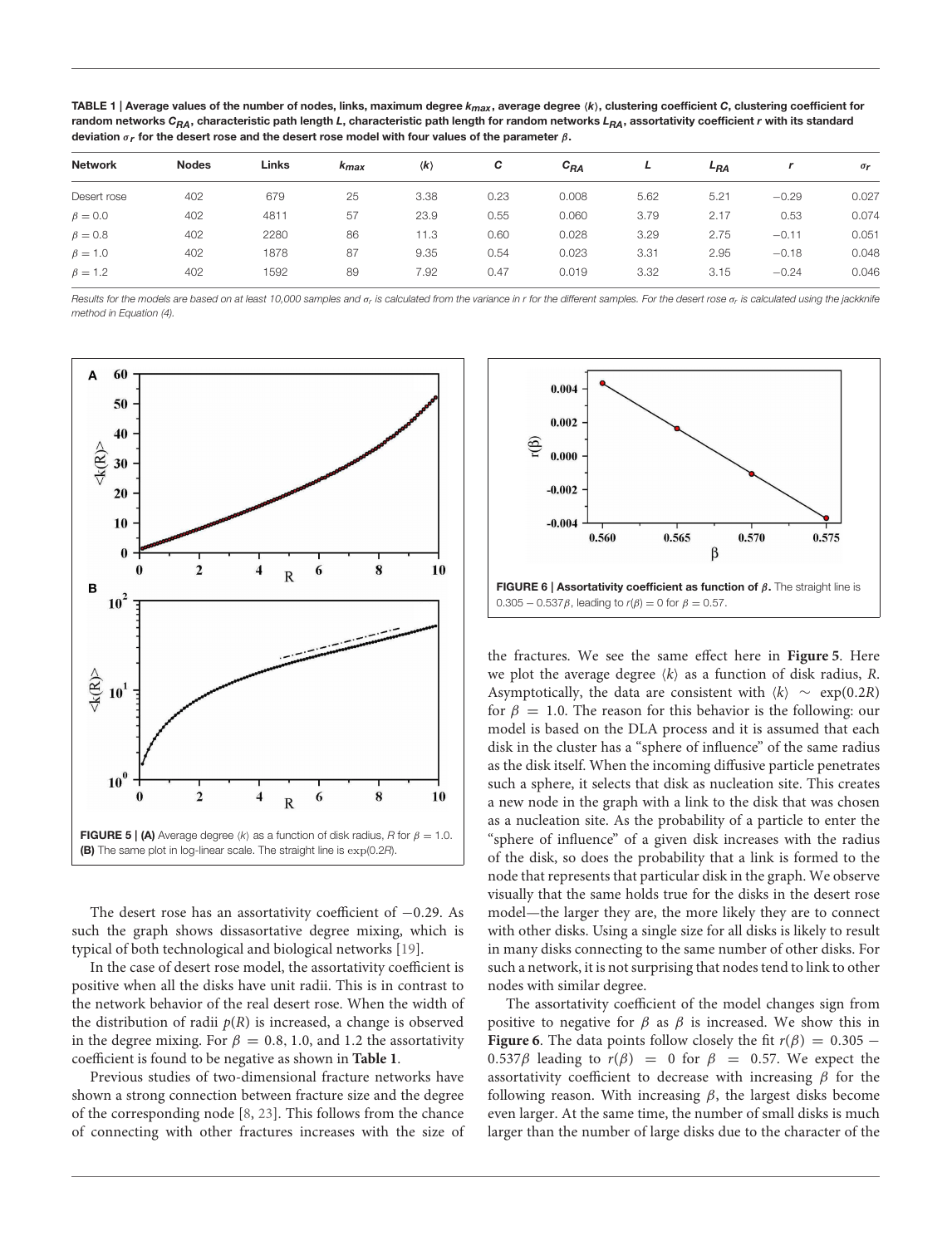<span id="page-4-0"></span>TABLE 1 | Average values of the number of nodes, links, maximum degree  $k_{max}$ , average degree  $\langle k \rangle$ , clustering coefficient C, clustering coefficient for random networks C<sub>RA</sub>, characteristic path length L, characteristic path length for random networks L<sub>RA</sub>, assortativity coefficient r with its standard deviation  $\sigma_r$  for the desert rose and the desert rose model with four values of the parameter  $\beta$ .

|                |              | Links | k <sub>max</sub> | $\langle k \rangle$ | C    | $c_{BA}$ | L    | L <sub>RA</sub> |         | $\sigma$ r |
|----------------|--------------|-------|------------------|---------------------|------|----------|------|-----------------|---------|------------|
| <b>Network</b> | <b>Nodes</b> |       |                  |                     |      |          |      |                 |         |            |
| Desert rose    | 402          | 679   | 25               | 3.38                | 0.23 | 0.008    | 5.62 | 5.21            | $-0.29$ | 0.027      |
| $\beta = 0.0$  | 402          | 4811  | 57               | 23.9                | 0.55 | 0.060    | 3.79 | 2.17            | 0.53    | 0.074      |
| $\beta = 0.8$  | 402          | 2280  | 86               | 11.3                | 0.60 | 0.028    | 3.29 | 2.75            | $-0.11$ | 0.051      |
| $\beta = 1.0$  | 402          | 1878  | 87               | 9.35                | 0.54 | 0.023    | 3.31 | 2.95            | $-0.18$ | 0.048      |
| $\beta = 1.2$  | 402          | 1592  | 89               | 7.92                | 0.47 | 0.019    | 3.32 | 3.15            | $-0.24$ | 0.046      |
|                |              |       |                  |                     |      |          |      |                 |         |            |

Results for the models are based on at least 10,000 samples and  $\sigma_r$  is calculated from the variance in r for the different samples. For the desert rose  $\sigma_r$  is calculated using the jackknife method in Equation [\(4\)](#page-3-1).



<span id="page-4-1"></span>The desert rose has an assortativity coefficient of −0.29. As such the graph shows dissasortative degree mixing, which is typical of both technological and biological networks [\[19\]](#page-6-18).

In the case of desert rose model, the assortativity coefficient is positive when all the disks have unit radii. This is in contrast to the network behavior of the real desert rose. When the width of the distribution of radii  $p(R)$  is increased, a change is observed in the degree mixing. For  $\beta = 0.8, 1.0,$  and 1.2 the assortativity coefficient is found to be negative as shown in **[Table 1](#page-4-0)**.

Previous studies of two-dimensional fracture networks have shown a strong connection between fracture size and the degree of the corresponding node [\[8,](#page-6-7) [23\]](#page-6-22). This follows from the chance of connecting with other fractures increases with the size of



<span id="page-4-2"></span>the fractures. We see the same effect here in **[Figure 5](#page-4-1)**. Here we plot the average degree  $\langle k \rangle$  as a function of disk radius, R. Asymptotically, the data are consistent with  $\langle k \rangle \sim \exp(0.2R)$ for  $\beta = 1.0$ . The reason for this behavior is the following: our model is based on the DLA process and it is assumed that each disk in the cluster has a "sphere of influence" of the same radius as the disk itself. When the incoming diffusive particle penetrates such a sphere, it selects that disk as nucleation site. This creates a new node in the graph with a link to the disk that was chosen as a nucleation site. As the probability of a particle to enter the "sphere of influence" of a given disk increases with the radius of the disk, so does the probability that a link is formed to the node that represents that particular disk in the graph. We observe visually that the same holds true for the disks in the desert rose model—the larger they are, the more likely they are to connect with other disks. Using a single size for all disks is likely to result in many disks connecting to the same number of other disks. For such a network, it is not surprising that nodes tend to link to other nodes with similar degree.

The assortativity coefficient of the model changes sign from positive to negative for  $\beta$  as  $\beta$  is increased. We show this in **[Figure 6](#page-4-2)**. The data points follow closely the fit  $r(\beta) = 0.305$  – 0.537 $\beta$  leading to  $r(\beta) = 0$  for  $\beta = 0.57$ . We expect the assortativity coefficient to decrease with increasing  $\beta$  for the following reason. With increasing  $\beta$ , the largest disks become even larger. At the same time, the number of small disks is much larger than the number of large disks due to the character of the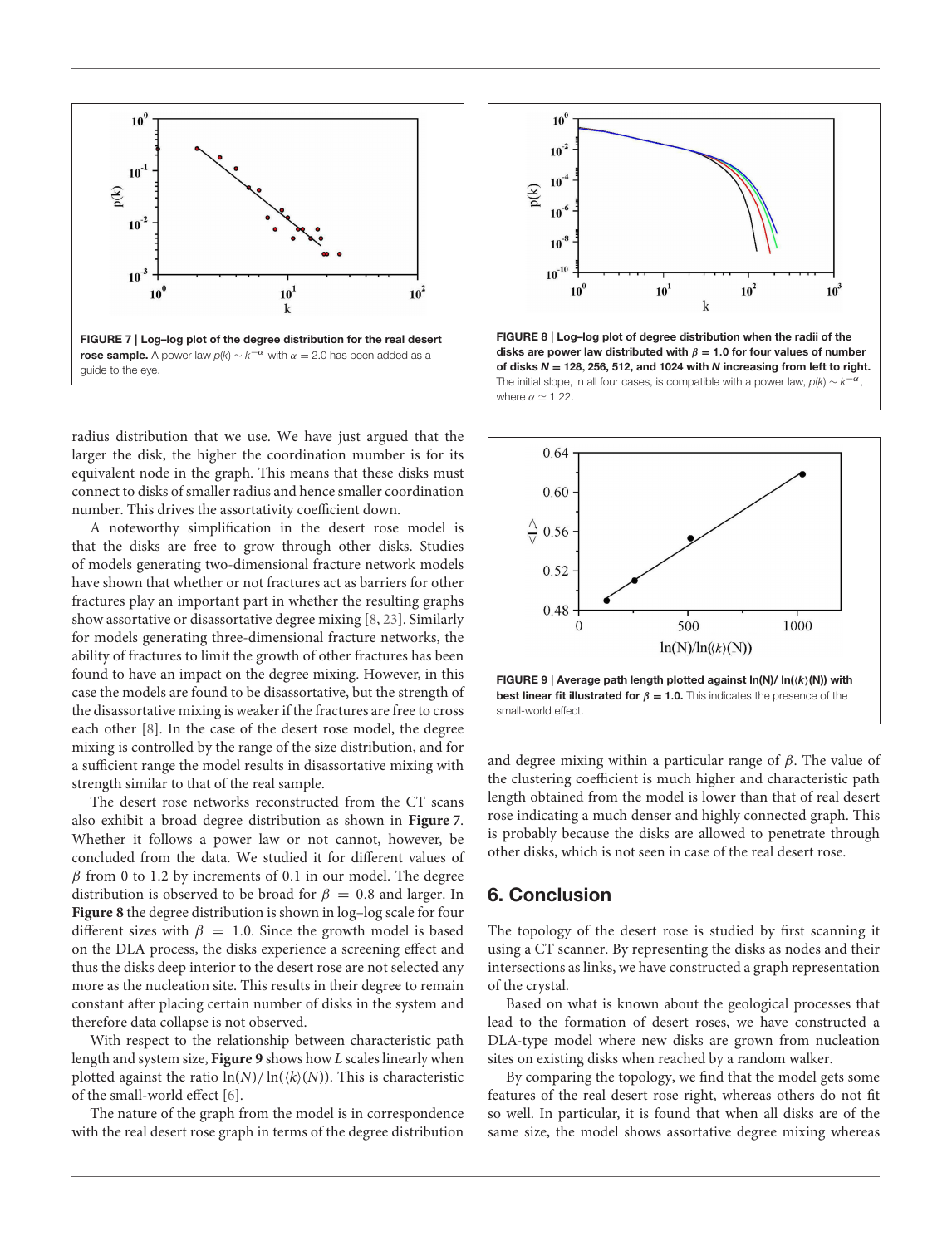

<span id="page-5-0"></span>radius distribution that we use. We have just argued that the larger the disk, the higher the coordination mumber is for its equivalent node in the graph. This means that these disks must connect to disks of smaller radius and hence smaller coordination number. This drives the assortativity coefficient down.

A noteworthy simplification in the desert rose model is that the disks are free to grow through other disks. Studies of models generating two-dimensional fracture network models have shown that whether or not fractures act as barriers for other fractures play an important part in whether the resulting graphs show assortative or disassortative degree mixing [\[8,](#page-6-7) [23\]](#page-6-22). Similarly for models generating three-dimensional fracture networks, the ability of fractures to limit the growth of other fractures has been found to have an impact on the degree mixing. However, in this case the models are found to be disassortative, but the strength of the disassortative mixing is weaker if the fractures are free to cross each other [\[8\]](#page-6-7). In the case of the desert rose model, the degree mixing is controlled by the range of the size distribution, and for a sufficient range the model results in disassortative mixing with strength similar to that of the real sample.

The desert rose networks reconstructed from the CT scans also exhibit a broad degree distribution as shown in **[Figure 7](#page-5-0)**. Whether it follows a power law or not cannot, however, be concluded from the data. We studied it for different values of  $\beta$  from 0 to 1.2 by increments of 0.1 in our model. The degree distribution is observed to be broad for  $\beta = 0.8$  and larger. In **[Figure 8](#page-5-1)** the degree distribution is shown in log–log scale for four different sizes with  $\beta = 1.0$ . Since the growth model is based on the DLA process, the disks experience a screening effect and thus the disks deep interior to the desert rose are not selected any more as the nucleation site. This results in their degree to remain constant after placing certain number of disks in the system and therefore data collapse is not observed.

With respect to the relationship between characteristic path length and system size, **[Figure 9](#page-5-2)** shows how L scales linearly when plotted against the ratio  $\ln(N)/\ln(\langle k \rangle(N))$ . This is characteristic of the small-world effect [\[6\]](#page-6-5).

The nature of the graph from the model is in correspondence with the real desert rose graph in terms of the degree distribution



<span id="page-5-1"></span>FIGURE 8 | Log–log plot of degree distribution when the radii of the disks are power law distributed with  $\beta = 1.0$  for four values of number of disks  $N = 128, 256, 512,$  and 1024 with N increasing from left to right. The initial slope, in all four cases, is compatible with a power law,  $p(k) \sim k^{-\alpha}$ , where  $\alpha \simeq 1.22$ .



<span id="page-5-2"></span>and degree mixing within a particular range of  $\beta$ . The value of the clustering coefficient is much higher and characteristic path length obtained from the model is lower than that of real desert rose indicating a much denser and highly connected graph. This is probably because the disks are allowed to penetrate through other disks, which is not seen in case of the real desert rose.

## 6. Conclusion

The topology of the desert rose is studied by first scanning it using a CT scanner. By representing the disks as nodes and their intersections as links, we have constructed a graph representation of the crystal.

Based on what is known about the geological processes that lead to the formation of desert roses, we have constructed a DLA-type model where new disks are grown from nucleation sites on existing disks when reached by a random walker.

By comparing the topology, we find that the model gets some features of the real desert rose right, whereas others do not fit so well. In particular, it is found that when all disks are of the same size, the model shows assortative degree mixing whereas